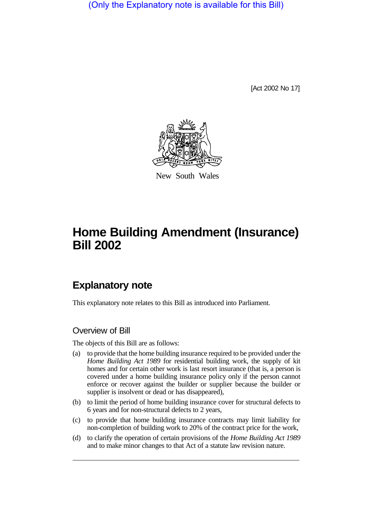(Only the Explanatory note is available for this Bill)

[Act 2002 No 17]



New South Wales

# **Home Building Amendment (Insurance) Bill 2002**

# **Explanatory note**

This explanatory note relates to this Bill as introduced into Parliament.

# Overview of Bill

The objects of this Bill are as follows:

- (a) to provide that the home building insurance required to be provided under the *Home Building Act 1989* for residential building work, the supply of kit homes and for certain other work is last resort insurance (that is, a person is covered under a home building insurance policy only if the person cannot enforce or recover against the builder or supplier because the builder or supplier is insolvent or dead or has disappeared),
- (b) to limit the period of home building insurance cover for structural defects to 6 years and for non-structural defects to 2 years,
- (c) to provide that home building insurance contracts may limit liability for non-completion of building work to 20% of the contract price for the work,
- (d) to clarify the operation of certain provisions of the *Home Building Act 1989* and to make minor changes to that Act of a statute law revision nature.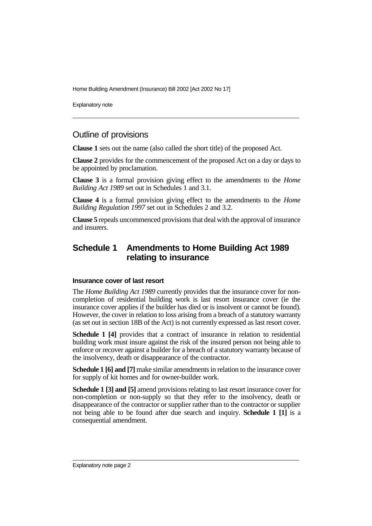Explanatory note

### Outline of provisions

**Clause 1** sets out the name (also called the short title) of the proposed Act.

**Clause 2** provides for the commencement of the proposed Act on a day or days to be appointed by proclamation.

**Clause 3** is a formal provision giving effect to the amendments to the *Home Building Act 1989* set out in Schedules 1 and 3.1.

**Clause 4** is a formal provision giving effect to the amendments to the *Home Building Regulation 1997* set out in Schedules 2 and 3.2.

**Clause 5** repeals uncommenced provisions that deal with the approval of insurance and insurers.

# **Schedule 1 Amendments to Home Building Act 1989 relating to insurance**

#### **Insurance cover of last resort**

The *Home Building Act 1989* currently provides that the insurance cover for noncompletion of residential building work is last resort insurance cover (ie the insurance cover applies if the builder has died or is insolvent or cannot be found). However, the cover in relation to loss arising from a breach of a statutory warranty (as set out in section 18B of the Act) is not currently expressed as last resort cover.

**Schedule 1 [4]** provides that a contract of insurance in relation to residential building work must insure against the risk of the insured person not being able to enforce or recover against a builder for a breach of a statutory warranty because of the insolvency, death or disappearance of the contractor.

**Schedule 1 [6] and [7]** make similar amendments in relation to the insurance cover for supply of kit homes and for owner-builder work.

**Schedule 1 [3] and [5]** amend provisions relating to last resort insurance cover for non-completion or non-supply so that they refer to the insolvency, death or disappearance of the contractor or supplier rather than to the contractor or supplier not being able to be found after due search and inquiry. **Schedule 1 [1]** is a consequential amendment.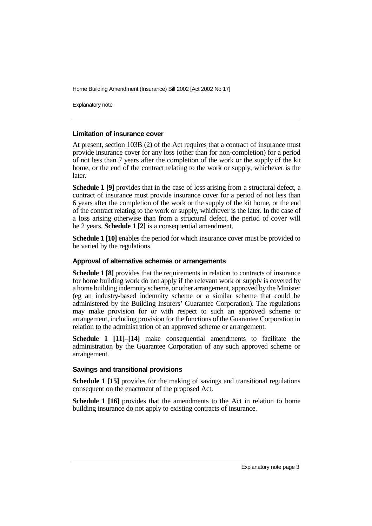Explanatory note

#### **Limitation of insurance cover**

At present, section 103B (2) of the Act requires that a contract of insurance must provide insurance cover for any loss (other than for non-completion) for a period of not less than 7 years after the completion of the work or the supply of the kit home, or the end of the contract relating to the work or supply, whichever is the later.

**Schedule 1 [9]** provides that in the case of loss arising from a structural defect, a contract of insurance must provide insurance cover for a period of not less than 6 years after the completion of the work or the supply of the kit home, or the end of the contract relating to the work or supply, whichever is the later. In the case of a loss arising otherwise than from a structural defect, the period of cover will be 2 years. **Schedule 1 [2]** is a consequential amendment.

**Schedule 1 [10]** enables the period for which insurance cover must be provided to be varied by the regulations.

#### **Approval of alternative schemes or arrangements**

**Schedule 1 [8]** provides that the requirements in relation to contracts of insurance for home building work do not apply if the relevant work or supply is covered by a home building indemnity scheme, or other arrangement, approved by the Minister (eg an industry-based indemnity scheme or a similar scheme that could be administered by the Building Insurers' Guarantee Corporation). The regulations may make provision for or with respect to such an approved scheme or arrangement, including provision for the functions of the Guarantee Corporation in relation to the administration of an approved scheme or arrangement.

**Schedule 1 [11]–[14]** make consequential amendments to facilitate the administration by the Guarantee Corporation of any such approved scheme or arrangement.

#### **Savings and transitional provisions**

**Schedule 1 [15]** provides for the making of savings and transitional regulations consequent on the enactment of the proposed Act.

**Schedule 1 [16]** provides that the amendments to the Act in relation to home building insurance do not apply to existing contracts of insurance.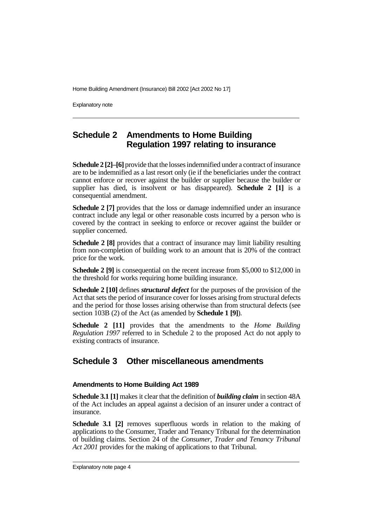Explanatory note

# **Schedule 2 Amendments to Home Building Regulation 1997 relating to insurance**

**Schedule 2 [2]–[6]** provide that the losses indemnified under a contract of insurance are to be indemnified as a last resort only (ie if the beneficiaries under the contract cannot enforce or recover against the builder or supplier because the builder or supplier has died, is insolvent or has disappeared). **Schedule 2 [1]** is a consequential amendment.

**Schedule 2 [7]** provides that the loss or damage indemnified under an insurance contract include any legal or other reasonable costs incurred by a person who is covered by the contract in seeking to enforce or recover against the builder or supplier concerned.

**Schedule 2 [8]** provides that a contract of insurance may limit liability resulting from non-completion of building work to an amount that is 20% of the contract price for the work.

**Schedule 2 [9]** is consequential on the recent increase from \$5,000 to \$12,000 in the threshold for works requiring home building insurance.

**Schedule 2 [10]** defines *structural defect* for the purposes of the provision of the Act that sets the period of insurance cover for losses arising from structural defects and the period for those losses arising otherwise than from structural defects (see section 103B (2) of the Act (as amended by **Schedule 1 [9]**).

**Schedule 2 [11]** provides that the amendments to the *Home Building Regulation 1997* referred to in Schedule 2 to the proposed Act do not apply to existing contracts of insurance.

# **Schedule 3 Other miscellaneous amendments**

#### **Amendments to Home Building Act 1989**

**Schedule 3.1 [1]** makes it clear that the definition of *building claim* in section 48A of the Act includes an appeal against a decision of an insurer under a contract of insurance.

**Schedule 3.1** [2] removes superfluous words in relation to the making of applications to the Consumer, Trader and Tenancy Tribunal for the determination of building claims. Section 24 of the *Consumer, Trader and Tenancy Tribunal Act 2001* provides for the making of applications to that Tribunal.